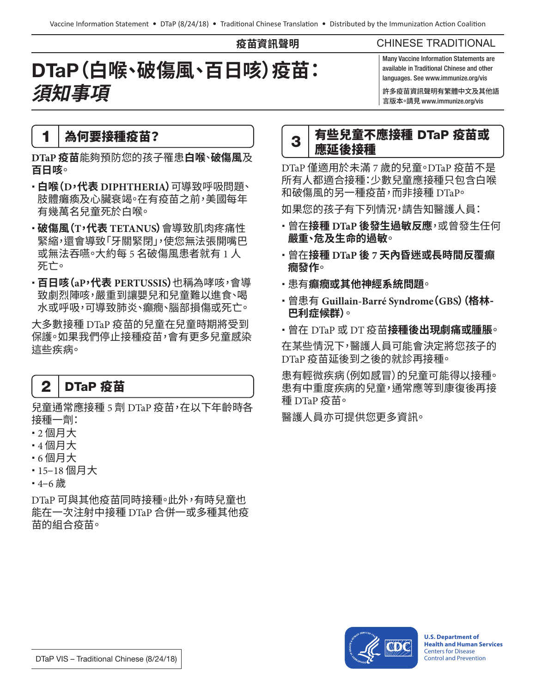**疫苗資訊聲明**

#### CHINESE TRADITIONAL

# DTaP**(白喉、破傷風、百日咳)疫苗: 須知事項**

Many Vaccine Information Statements are available in Traditional Chinese and other languages. See www.immunize.org/vis

許多疫苗資訊聲明有繁體中文及其他語 言版本。請見 www.immunize.org/vis

#### 1 為何要接種疫苗?

**DTaP 疫苗**能夠預防您的孩子罹患**白喉**、**破傷風**及 **百日咳**。

- **白喉(D,代表 DIPHTHERIA)**可導致呼吸問題、 肢體癱瘓及心臟衰竭。在有疫苗之前,美國每年 有幾萬名兒童死於白喉。
- **破傷風(T,代表 TETANUS)**會導致肌肉疼痛性 緊縮,還會導致「牙關緊閉」,使您無法張開嘴巴 或無法吞嚥。大約每 5 名破傷風患者就有 1 人 死亡。
- **百日咳(aP,代表 PERTUSSIS)**也稱為哮咳,會導 致劇烈陣咳,嚴重到讓嬰兒和兒童難以進食、喝 水或呼吸,可導致肺炎、癲癇、腦部損傷或死亡。

大多數接種 DTaP 疫苗的兒童在兒童時期將受到 保護。如果我們停止接種疫苗,會有更多兒童感染 這些疾病。

### 2 DTaP 疫苗

兒童通常應接種 5 劑 DTaP 疫苗,在以下年齡時各 接種一劑:

- 2 個月大
- 4 個月大
- 6 個月大
- 15–18 個月大
- 4–6 歲

DTaP 可與其他疫苗同時接種。此外,有時兒童也 能在一次注射中接種 DTaP 合併一或多種其他疫 苗的組合疫苗。



DTaP 僅適用於未滿 7 歲的兒童。DTaP 疫苗不是 所有人都滴合接種:少數兒童應接種只包含白喉 和破傷風的另一種疫苗,而非接種 DTaP。

如果您的孩子有下列情況,請告知醫護人員:

- 曾在**接種 DTaP 後發生過敏反應**,或曾發生任何 **嚴重、危及生命的過敏**。
- 曾在**接種 DTaP 後 7 天內昏迷或長時間反覆癲 癇發作**。
- 患有**癲癇或其他神經系統問題**。
- 曾患有 **Guillain-Barré Syndrome(GBS)(格林-巴利症候群)**。
- 曾在 DTaP 或 DT 疫苗**接種後出現劇痛或腫脹**。

在某些情況下,醫護人員可能會決定將您孩子的 DTaP 疫苗延後到之後的就診再接種。

患有輕微疾病(例如感冒)的兒童可能得以接種。 患有中重度疾病的兒童,通常應等到康復後再接 種 DTaP 疫苗。

醫護人員亦可提供您更多資訊。



**U.S. Department of Health and Human Services**  Centers for Disease Control and Prevention